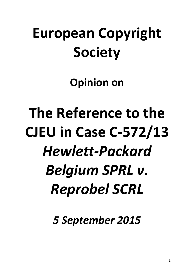# **European Copyright Society**

**Opinion on**

**The Reference to the CJEU in Case C-572/13** *Hewlett-Packard Belgium SPRL v. Reprobel SCRL*

*5 September 2015*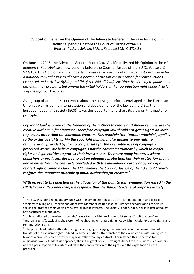# **ECS position paper on the Opinion of the Advocate General in the case** *HP Belgium v Reprobel* **pending before the Court of Justice of the EU** (*Hewlett-Packard Belgium SPRL v. Reprobel SCRL*, C-572/13)

On June 11, 2015, the Advocate-General Pedro Cruz Villalón delivered his Opinion in the *HP Belgium v. Reprobel* case now pending before the Court of Justice of the EU (CJEU, case C-572/13). This Opinion and the underlying case raise one important issue: *Is it permissible for a national copyright law to allocate a portion of the fair compensation for reproductions exempted under Article 5(2)(a) and (b) of the 2001/29 Infosoc Directive directly to publishers, although they are not listed among the initial holders of the reproduction right under Article 2 of the Infosoc Directive?*

As a group of academics concerned about the copyright reforms envisaged in the European Union as well as by the interpretation and development of the law by the CJEU, the European Copyright Society (ECS)<sup>1</sup> takes this opportunity to share its view on this matter of principle.

*Copyright law<sup>2</sup> is linked to the freedom of the authors to create and should remunerate the creative authors in first instance. Therefore copyright law should not grant rights ab initio to persons other than the individual creators. This principle (the "author principle") applies to the exclusive rights within the copyright bundle. It also applies to any right to remuneration provided by law to compensate for the exempted uses of copyrightprotected works. We believe copyright is not the correct instrument by which to confer rights on legal entities to protect their investments. There are many instances where publishers or producers deserve to get an adequate protection, but their protection should derive either from the contracts concluded with the individual creators or by way of a related right granted by law. The ECS believes the Court of Justice of the EU should clearly reaffirm the important principle of initial authorship for creators. 3*

*With respect to the question of the allocation of the right to fair remuneration raised in the HP Belgium v. Reprobel case, the response that the Advocate-General proposes largely*

 $^1$  The ECS was founded in January 2012 with the aim of creating a platform for independent and critical scholarly thinking on European copyright law. Members include leading European scholars and academics seeking to promote their views of the overall public interest. The Society is not funded, nor is it instructed, by any particular stakeholders.

<sup>&</sup>lt;sup>2</sup> Unless indicated otherwise, 'copyright' refers to copyright law in the strict sense ("droit d'auteur" or "authors' rights"), excluding the system of neighboring or related rights. Copyright includes exclusive rights and remuneration rights.

 $3$  The principle of initial authorship of rights belonging to copyright is compatible with a presumption of transfer of the exclusive rights. Indeed, in some situations, the transfer of the exclusive exploitation rights in favor of a producer can be provided by law, rather than by contracts. For instance this is the case for audiovisual works. Under this approach, the initial grant of exclusive rights benefits the numerous co-authors and the presumption of transfer facilitates the concentration of the rights and the exploitation by the producer.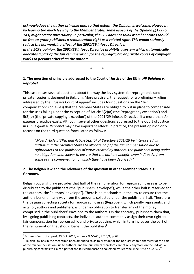*acknowledges the author principle and, to that extent, the Opinion is welcome. However, by leaving too much leeway to the Member States, some aspects of the Opinion (§132 to 143) might create uncertainty. In particular, the ECS does not think Member States should be free to grant publishers a remuneration right as a related right. This would seriously reduce the harmonizing effect of the 2001/29 Infosoc Directive.*

*In the ECS's opinion, the 2001/29 Infosoc Directive prohibits a system which automatically allocates a part of the fair remuneration for the reprographic or private copies of copyright works to persons other than the authors.*

**\* \***

### **1. The question of principle addressed to the Court of Justice of the EU in** *HP Belgium v. Reprobel***.**

This case raises several questions about the way the levy system for reprographic (and private) copies is designed in Belgium. More precisely, the request for a preliminary ruling addressed by the Brussels Court of appeal<sup>4</sup> includes four questions on the "fair compensation" (or levies) that the Member States are obliged to put in place to compensate for the uses falling under the exception of Article 5(2)(a) (the 'reprography exception') and 5(2)(b) (the 'private copying exception') of the 2001/29 Infosoc Directive, if a more than *de minimis* prejudice exists. Although several other questions addressed to the Court of Justice in *HP Belgium v. Reprobel* may have important effects in practice, the present opinion only focuses on the third question formulated as follows:

*"Must Article 5(2)(a) and Article 5(2)(b) of Directive 2001/29 be interpreted as authorising the Member States to allocate half of the fair compensation due to rightholders to the publishers of works created by authors, the publishers being under no obligation whatsoever to ensure that the authors benefit, even indirectly, from some of the compensation of which they have been deprived?"* 

# **2. The Belgian law and the relevance of the question in other Member States, e.g. Germany.**

Belgian copyright law provides that half of the remuneration for reprographic uses is to be distributed to the publishers (the "publishers' envelope"), while the other half is reserved for the authors (the "authors' envelope"). There is no mechanism in the law to ensure that the authors benefit in any way from the amounts collected under the publishers' half. Therefore the Belgian collecting society for reprographic uses (Reprobel), which jointly represents, and acts for, authors and publishers, is under no obligation to transfer any of the money comprised in the publishers' envelope to the authors. On the contrary, publishers claim that, by signing publishing contracts, the individual authors commonly assign their own right to fair compensation for reprographic and private copying, which in turn increases the part of the remuneration that should benefit the publishers<sup>5</sup>.

<sup>4</sup> Brussels Court of appeal, 23 Oct. 2013, *Auteurs & Media*, 2015/1, p. 67.

<sup>&</sup>lt;sup>5</sup> Belgian law has in the meantime been amended so as to provide for the non-assignable character of the part of the fair compensation due to authors, and the publishers therefore cannot rely anymore on the individual publishing contracts to claim a part of the fair compensation collected by Reprobel (see Article XI.239,  $7<sup>th</sup>$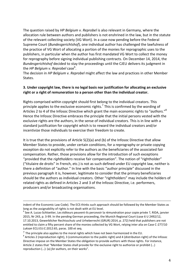The question raised by *HP Belgium v. Reprobel* is also relevant in Germany, where the allocation rule between authors and publishers is not enshrined in the law, but in the statute of the relevant collecting society (VG Wort). In a case now pending before the Federal Supreme Court (*Bundesgerichtshof*), one individual author has challenged the lawfulness of the practice of VG Wort of allocating a portion of the monies for reprographic uses to the publishers, in particular when the author has first mandated VG Wort to collect the money for reprography before signing individual publishing contracts. On December 14, 2014, the *Bundesgerichtshof* decided to stay the proceedings until the CJEU delivers its judgment in the *HP Belgium v. Reprobel* case<sup>6</sup>.

The decision in *HP Belgium v. Reprobel* might affect the law and practices in other Member States.

### **3. Under copyright law, there is no legal basis nor justification for allocating an exclusive right or a right of remuneration to a person other than the individual creator.**

Rights comprised within copyright should first belong to the individual creators. This principle applies to the exclusive economic rights.<sup>7</sup> This is confirmed by the wording of Articles 2 to 4 of the Infosoc Directive which grant the main economic rights to "*authors.*" 8 Hence the Infosoc Directive embraces the principle that the initial persons vested with the exclusive rights are the authors, in the sense of individual creators. This is in line with a standard justification for copyright which is to reward the individual creators and/or incentivize those individuals to exercise their freedom to create.

It is true that the provisions of Article 5(2)(a) and (b) of the Infosoc Directive that allow Member States to provide, under certain conditions, for a reprography or private copying exception do not explicitly refer to the authors as the beneficiaries of the associated fair compensation. Rather, those provisions allow for the introduction of such exceptions "provided that the *rightholders* receive fair compensation". The notion of "rightholder" ("titulaire de droits" in French, etc.) is not as such defined under EU copyright law, neither is there a definition of "author." In line with the basic "author principle" discussed in the previous paragraph it is, however, legitimate to consider that the primary beneficiaries should be the authors as individual creators. Other "rightholders" may include the holders of related rights as defined in Articles 2 and 3 of the Infosoc Directive, i.e. performers, producers and/or broadcasting organisations.

indent of the Economic Law Code). The ECS thinks such approach should be followed by the Member States as long as the assignability of rights is not dealt with at EU level.

<sup>&</sup>lt;sup>6</sup> See A. Lucas-Schloetter, Les éditeurs peuvent-ils percevoir la rémunération pour copie privée ?, RIDA, janvier 2015, Nr 243, p. 3-99. In the pending German proceeding, the Munich Regional Court (case 6 U 2492/12, 17.10.2013, Gewerblicher Rechtsschutz und Urheberrecht (GRUR) 2014, p. 272) held that publishers are not entitled to claim a fifty percent share of the monies collected by VG Wort, relying inter alia on Case C-277/10 *Luksan* ECLI:EU:C:2012:65, paras. 100 et seq.

 $7$  The principle also applies to the moral rights which have not been harmonized in the EU.

 $^8$  Articles 2 (reproduction right), 3 (communication to the public right) and 4 (distribution right) of the Infosoc Directive impose on the Member States the obligation to provide authors with those rights. For instance, Article 2 states that "Member States shall provide for the exclusive right to authorize or prohibit (…) reproduction (…): (a) *for authors*, on their works".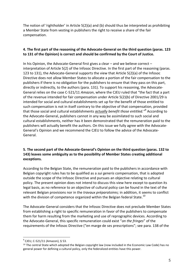The notion of 'rightholder' in Article 5(2)(a) and (b) should thus be interpreted as prohibiting a Member State from vesting in publishers the right to receive a share of the fair compensation.

# **4. The first part of the reasoning of the Advocate-General on the third question (paras. 123 to 131 of the Opinion) is correct and should be confirmed by the Court of Justice.**

In his Opinion, the Advocate-General first gives a clear – and we believe correct – interpretation of Article 5(2) of the Infosoc Directive. In the first part of the reasoning (paras. 123 to 131), the Advocate-General supports the view that Article 5(2)(a) of the Infosoc Directive does not allow Member States to allocate a portion of the fair compensation to the publishers if there is no obligation for the publishers to ensure that they pass on this part, directly or indirectly, to the authors (para. 131). To support his reasoning, the Advocate-General relies on the case C-521/11 *Amazon*, where the CJEU ruled that "the fact that a part of the revenue intended for fair compensation under Article 5(2)(b) of Directive 2001/29 is intended for social and cultural establishments set up for the benefit of those entitled to such compensation is not in itself contrary to the objective of that compensation, provided that those social and cultural establishments *actually benefit those entitled."* 9 According to the Advocate-General, publishers cannot in any way be assimilated to such social and cultural establishments, neither has it been demonstrated that the remuneration paid to the publishers will actually benefit the authors. On this issue we fully agree with the Advocate-General's Opinion and we recommend the CJEU to follow the advice of the Advocate-General.

### **5. The second part of the Advocate-General's Opinion on the third question (paras. 132 to 143) leaves some ambiguity as to the possibility of Member States creating additional exceptions.**

According to the Belgian State, the remuneration paid to the publishers in accordance with Belgian copyright rules has to be qualified as a *sui generis* compensation, that is adopted outside the scope of the Infosoc Directive and pursues an objective relating to cultural policy. The present opinion does not intend to discuss this view here except to question its legal basis, as no reference to an objective of cultural policy can be found in the text of the relevant Belgian provisions nor in the *travaux préparatoires;* in addition, it seems to conflict with the division of competence organized within the Belgian federal State. $^{10}$ 

The Advocate-General considers that the Infosoc Directive does not preclude Member States from establishing a right to specific remuneration in favor of the publishers to compensate them for harm resulting from the marketing and use of reprographic devices. According to the Advocate-General, this specific remuneration could exist "*on the fringes*" of the requirements of the Infosoc Directive ("en marge de ses prescriptions"; see para. 138 of the

 $^{9}$  CJEU, C-521/11 (Amazon), § 53.

 $10$  The central State which adopted the Belgian copyright law (now included in the Economic Law Code) has no general power for defining a cultural policy, only the federalized entities have this power.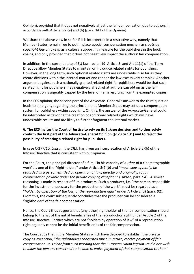Opinion), provided that it does not negatively affect the fair compensation due to authors in accordance with Article 5(2)(a) and (b) (para. 143 of the Opinion).

We share the above view in so far if it is interpreted in a restrictive way, namely that Member States remain free to put in place special compensation mechanisms *outside copyright law* only (e.g. as a cultural supporting measure for the publishers in the book chain), and only provided that it does not negatively impact the authors' fair compensation.

In addition, in the current state of EU law, recital 19, Article 5, and Art 11(1) of the Term Directive allow Member States to maintain or introduce related rights for publishers. However, in the long term, such optional related rights are undesirable in so far as they create divisions within the internal market and render the law excessively complex. Another argument against such a nationally granted related right for publishers would be that such related right for publishers may negatively affect what authors can obtain as the fair compensation is arguably capped by the level of harm resulting from the exempted copies.

In the ECS opinion, the second part of the Advocate- General's answer to the third question leads to ambiguity regarding the principle that Member States may set up a compensation system for publishers within copyright. On this, the answer of the Advocate-General could be interpreted as favoring the creation of additional related rights which will have undesirable results and are likely to further fragment the internal market.

# **6. The ECS invites the Court of Justice to rely on its** *Luksan* **decision and to thus solely confirm the first part of the Advocate-General Opinion (§123 to 131) and to reject the possibility of creating a related right for publishers.**

In case C-277/10, *Luksan*, the CJEU has given an interpretation of Article 5(2)(b) of the Infosoc Directive that is consistent with our opinion.

For the Court, the principal director of a film, "in his capacity of *author* of a cinematographic work", is one of the "rightholders" under Article 5(2)(b) and "*must, consequently, be regarded as a person entitled by operation of law, directly and originally, to fair compensation payable under the private copying exception*" (*Luksan*, para. 94). A similar reasoning is made in respect of film producers. Such a producer, i.e. "the person responsible for the investment necessary for the production of the work", must be regarded as a "*holder, by operation of the law, of the reproduction right*" under Article 2 (d) (para. 92). From this, the court subsequently concludes that the producer can be considered a "rightholder" of the fair compensation.

Hence, the Court thus suggests that (any other) rightholder of the fair compensation should belong to the list of the initial beneficiaries of the reproduction right under Article 2 of the Infosoc Directive. Entities which are not "holders by operation of law" of a reproduction right arguably cannot be the initial beneficiaries of the fair compensation.

The Court adds that in the Member States which have decided to establish the private copying exception, "*the rightholders concerned must, in return, receive payment of fair compensation. It is clear from such wording that the European Union legislature did not wish to allow the persons concerned to be able to waive payment of that compensation to them*"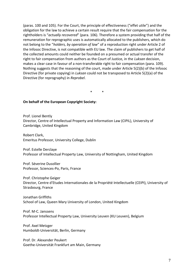(paras. 100 and 105). For the Court, the principle of effectiveness ("effet utile") and the obligation for the law to achieve a certain result require that the fair compensation for the rightholders is "*actually recovered*" (para. 106). Therefore a system providing that half of the remuneration for reprographic uses is automatically allocated to the publishers, which do not belong to the "*holders, by operation of law*" of a reproduction right under Article 2 of the Infosoc Directive, is not compatible with EU law. The claim of publishers to get half of the collected amounts could neither be founded on a presumed or actual transfer of the right to fair compensation from authors as the Court of Justice, in the *Luksan* decision, makes a clear case in favour of a non-transferable right to fair compensation (para. 109). Nothing suggests that the reasoning of the court, made under Article 5(2)(b) of the Infosoc Directive (for private copying) in *Luksan* could not be transposed to Article 5(2)(a) of the Directive (for reprography) in *Reprobel*.

\* \*

#### **On behalf of the European Copyright Society:**

Prof. Lionel Bently Director, Centre of Intellectual Property and Information Law (CIPIL), University of Cambridge, United Kingdom

Robert Clark, Emeritus Professor, University College, Dublin

Prof. Estelle Derclaye Professor of Intellectual Property Law, University of Nottingham, United Kingdom

Prof. Séverine Dusollier Professor, Sciences-Po, Paris, France

Prof. Christophe Geiger Director, Centre d'Etudes Internationales de la Propriété Intellectuelle (CEIPI), University of Strasbourg, France

Jonathan Griffiths School of Law, Queen Mary University of London, United Kingdom

Prof. M-C. Janssens Professor Intellectual Property Law, University Leuven (KU Leuven), Belgium

Prof. Axel Metzger Humboldt-Universität, Berlin, Germany

Prof. Dr. Alexander Peukert Goethe-Universität Frankfurt am Main, Germany